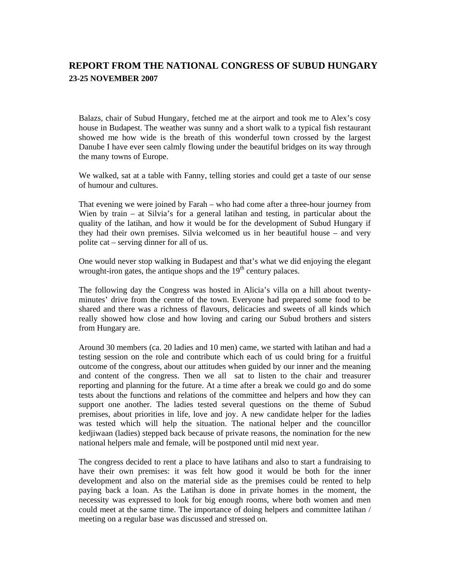## **REPORT FROM THE NATIONAL CONGRESS OF SUBUD HUNGARY 23-25 NOVEMBER 2007**

Balazs, chair of Subud Hungary, fetched me at the airport and took me to Alex's cosy house in Budapest. The weather was sunny and a short walk to a typical fish restaurant showed me how wide is the breath of this wonderful town crossed by the largest Danube I have ever seen calmly flowing under the beautiful bridges on its way through the many towns of Europe.

We walked, sat at a table with Fanny, telling stories and could get a taste of our sense of humour and cultures.

That evening we were joined by Farah – who had come after a three-hour journey from Wien by train – at Silvia's for a general latihan and testing, in particular about the quality of the latihan, and how it would be for the development of Subud Hungary if they had their own premises. Silvia welcomed us in her beautiful house – and very polite cat – serving dinner for all of us.

One would never stop walking in Budapest and that's what we did enjoying the elegant wrought-iron gates, the antique shops and the  $19<sup>th</sup>$  century palaces.

The following day the Congress was hosted in Alicia's villa on a hill about twentyminutes' drive from the centre of the town. Everyone had prepared some food to be shared and there was a richness of flavours, delicacies and sweets of all kinds which really showed how close and how loving and caring our Subud brothers and sisters from Hungary are.

Around 30 members (ca. 20 ladies and 10 men) came, we started with latihan and had a testing session on the role and contribute which each of us could bring for a fruitful outcome of the congress, about our attitudes when guided by our inner and the meaning and content of the congress. Then we all sat to listen to the chair and treasurer reporting and planning for the future. At a time after a break we could go and do some tests about the functions and relations of the committee and helpers and how they can support one another. The ladies tested several questions on the theme of Subud premises, about priorities in life, love and joy. A new candidate helper for the ladies was tested which will help the situation. The national helper and the councillor kedjiwaan (ladies) stepped back because of private reasons, the nomination for the new national helpers male and female, will be postponed until mid next year.

The congress decided to rent a place to have latihans and also to start a fundraising to have their own premises: it was felt how good it would be both for the inner development and also on the material side as the premises could be rented to help paying back a loan. As the Latihan is done in private homes in the moment, the necessity was expressed to look for big enough rooms, where both women and men could meet at the same time. The importance of doing helpers and committee latihan / meeting on a regular base was discussed and stressed on.